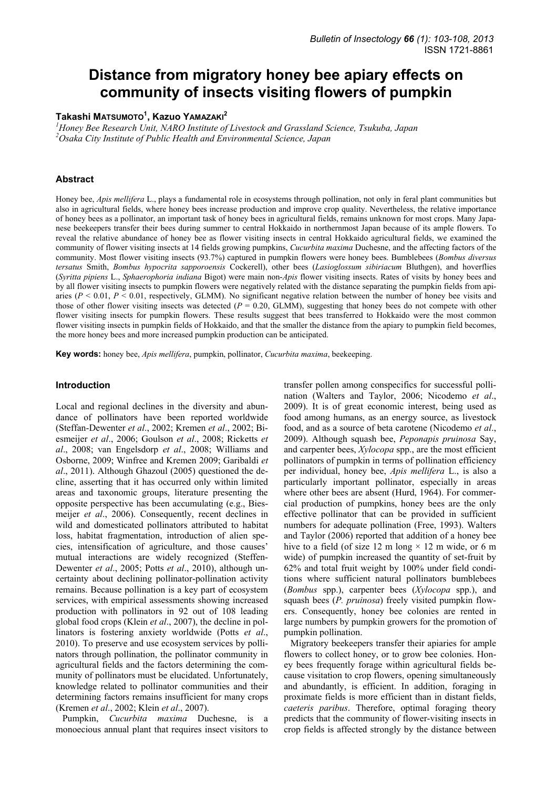# **Distance from migratory honey bee apiary effects on community of insects visiting flowers of pumpkin**

## **Takashi MATSUMOTO1 , Kazuo YAMAZAKI<sup>2</sup>**

<sup>1</sup> Honey Bee Research Unit, NARO Institute of Livestock and Grassland Science, Tsukuba, Japan <sup>2</sup>Osaka City Institute of Bublic Haalth and Emmontal Science, Isnam *Osaka City Institute of Public Health and Environmental Science, Japan* 

## **Abstract**

Honey bee, *Apis mellifera* L., plays a fundamental role in ecosystems through pollination, not only in feral plant communities but also in agricultural fields, where honey bees increase production and improve crop quality. Nevertheless, the relative importance of honey bees as a pollinator, an important task of honey bees in agricultural fields, remains unknown for most crops. Many Japanese beekeepers transfer their bees during summer to central Hokkaido in northernmost Japan because of its ample flowers. To reveal the relative abundance of honey bee as flower visiting insects in central Hokkaido agricultural fields, we examined the community of flower visiting insects at 14 fields growing pumpkins, *Cucurbita maxima* Duchesne, and the affecting factors of the community. Most flower visiting insects (93.7%) captured in pumpkin flowers were honey bees. Bumblebees (*Bombus diversus tersatus* Smith, *Bombus hypocrita sapporoensis* Cockerell), other bees (*Lasioglossum sibiriacum* Bluthgen), and hoverflies (*Syritta pipiens* L., *Sphaerophoria indiana* Bigot) were main non-*Apis* flower visiting insects. Rates of visits by honey bees and by all flower visiting insects to pumpkin flowers were negatively related with the distance separating the pumpkin fields from apiaries ( $P < 0.01$ ,  $P < 0.01$ , respectively, GLMM). No significant negative relation between the number of honey bee visits and those of other flower visiting insects was detected  $(P = 0.20, GLMM)$ , suggesting that honey bees do not compete with other flower visiting insects for pumpkin flowers. These results suggest that bees transferred to Hokkaido were the most common flower visiting insects in pumpkin fields of Hokkaido, and that the smaller the distance from the apiary to pumpkin field becomes, the more honey bees and more increased pumpkin production can be anticipated.

**Key words:** honey bee, *Apis mellifera*, pumpkin, pollinator, *Cucurbita maxima*, beekeeping.

#### **Introduction**

Local and regional declines in the diversity and abundance of pollinators have been reported worldwide (Steffan-Dewenter *et al*., 2002; Kremen *et al*., 2002; Biesmeijer *et al*., 2006; Goulson *et al*., 2008; Ricketts *et al*., 2008; van Engelsdorp *et al*., 2008; Williams and Osborne, 2009; Winfree and Kremen 2009; Garibaldi *et al*., 2011). Although Ghazoul (2005) questioned the decline, asserting that it has occurred only within limited areas and taxonomic groups, literature presenting the opposite perspective has been accumulating (e.g., Biesmeijer *et al*., 2006). Consequently, recent declines in wild and domesticated pollinators attributed to habitat loss, habitat fragmentation, introduction of alien species, intensification of agriculture, and those causes' mutual interactions are widely recognized (Steffen-Dewenter *et al*., 2005; Potts *et al*., 2010), although uncertainty about declining pollinator-pollination activity remains. Because pollination is a key part of ecosystem services, with empirical assessments showing increased production with pollinators in 92 out of 108 leading global food crops (Klein *et al*., 2007), the decline in pollinators is fostering anxiety worldwide (Potts *et al*., 2010). To preserve and use ecosystem services by pollinators through pollination, the pollinator community in agricultural fields and the factors determining the community of pollinators must be elucidated. Unfortunately, knowledge related to pollinator communities and their determining factors remains insufficient for many crops (Kremen *et al*., 2002; Klein *et al*., 2007).

Pumpkin, *Cucurbita maxima* Duchesne, is a monoecious annual plant that requires insect visitors to transfer pollen among conspecifics for successful pollination (Walters and Taylor, 2006; Nicodemo *et al*., 2009). It is of great economic interest, being used as food among humans, as an energy source, as livestock food, and as a source of beta carotene (Nicodemo *et al*., 2009). Although squash bee, *Peponapis pruinosa* Say, and carpenter bees, *Xylocopa* spp., are the most efficient pollinators of pumpkin in terms of pollination efficiency per individual, honey bee, *Apis mellifera* L., is also a particularly important pollinator, especially in areas where other bees are absent (Hurd, 1964). For commercial production of pumpkins, honey bees are the only effective pollinator that can be provided in sufficient numbers for adequate pollination (Free, 1993). Walters and Taylor (2006) reported that addition of a honey bee hive to a field (of size 12 m long  $\times$  12 m wide, or 6 m wide) of pumpkin increased the quantity of set-fruit by 62% and total fruit weight by 100% under field conditions where sufficient natural pollinators bumblebees (*Bombus* spp.), carpenter bees (*Xylocopa* spp.), and squash bees (*P. pruinosa*) freely visited pumpkin flowers. Consequently, honey bee colonies are rented in large numbers by pumpkin growers for the promotion of pumpkin pollination.

Migratory beekeepers transfer their apiaries for ample flowers to collect honey, or to grow bee colonies. Honey bees frequently forage within agricultural fields because visitation to crop flowers, opening simultaneously and abundantly, is efficient. In addition, foraging in proximate fields is more efficient than in distant fields, *caeteris paribus*. Therefore, optimal foraging theory predicts that the community of flower-visiting insects in crop fields is affected strongly by the distance between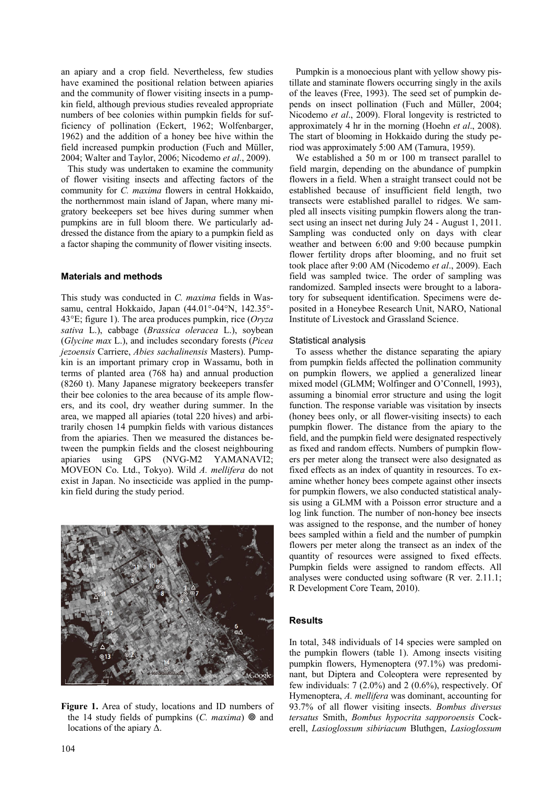an apiary and a crop field. Nevertheless, few studies have examined the positional relation between apiaries and the community of flower visiting insects in a pumpkin field, although previous studies revealed appropriate numbers of bee colonies within pumpkin fields for sufficiency of pollination (Eckert, 1962; Wolfenbarger, 1962) and the addition of a honey bee hive within the field increased pumpkin production (Fuch and Müller, 2004; Walter and Taylor, 2006; Nicodemo *et al*., 2009).

This study was undertaken to examine the community of flower visiting insects and affecting factors of the community for *C. maxima* flowers in central Hokkaido, the northernmost main island of Japan, where many migratory beekeepers set bee hives during summer when pumpkins are in full bloom there. We particularly addressed the distance from the apiary to a pumpkin field as a factor shaping the community of flower visiting insects.

## **Materials and methods**

This study was conducted in *C. maxima* fields in Wassamu, central Hokkaido, Japan (44.01°-04°N, 142.35°- 43°E; figure 1). The area produces pumpkin, rice (*Oryza sativa* L.), cabbage (*Brassica oleracea* L.), soybean (*Glycine max* L.), and includes secondary forests (*Picea jezoensis* Carriere, *Abies sachalinensis* Masters). Pumpkin is an important primary crop in Wassamu, both in terms of planted area (768 ha) and annual production (8260 t). Many Japanese migratory beekeepers transfer their bee colonies to the area because of its ample flowers, and its cool, dry weather during summer. In the area, we mapped all apiaries (total 220 hives) and arbitrarily chosen 14 pumpkin fields with various distances from the apiaries. Then we measured the distances between the pumpkin fields and the closest neighbouring apiaries using GPS (NVG-M2 YAMANAVI2; MOVEON Co. Ltd., Tokyo). Wild *A. mellifera* do not exist in Japan. No insecticide was applied in the pumpkin field during the study period.



**Figure 1.** Area of study, locations and ID numbers of the 14 study fields of pumpkins  $(C.$  maxima)  $\otimes$  and locations of the apiary ∆.

Pumpkin is a monoecious plant with yellow showy pistillate and staminate flowers occurring singly in the axils of the leaves (Free, 1993). The seed set of pumpkin depends on insect pollination (Fuch and Müller, 2004; Nicodemo *et al*., 2009). Floral longevity is restricted to approximately 4 hr in the morning (Hoehn *et al*., 2008). The start of blooming in Hokkaido during the study period was approximately 5:00 AM (Tamura, 1959).

We established a 50 m or 100 m transect parallel to field margin, depending on the abundance of pumpkin flowers in a field. When a straight transect could not be established because of insufficient field length, two transects were established parallel to ridges. We sampled all insects visiting pumpkin flowers along the transect using an insect net during July 24 - August 1, 2011. Sampling was conducted only on days with clear weather and between 6:00 and 9:00 because pumpkin flower fertility drops after blooming, and no fruit set took place after 9:00 AM (Nicodemo *et al*., 2009). Each field was sampled twice. The order of sampling was randomized. Sampled insects were brought to a laboratory for subsequent identification. Specimens were deposited in a Honeybee Research Unit, NARO, National Institute of Livestock and Grassland Science.

#### Statistical analysis

To assess whether the distance separating the apiary from pumpkin fields affected the pollination community on pumpkin flowers, we applied a generalized linear mixed model (GLMM; Wolfinger and O'Connell, 1993), assuming a binomial error structure and using the logit function. The response variable was visitation by insects (honey bees only, or all flower-visiting insects) to each pumpkin flower. The distance from the apiary to the field, and the pumpkin field were designated respectively as fixed and random effects. Numbers of pumpkin flowers per meter along the transect were also designated as fixed effects as an index of quantity in resources. To examine whether honey bees compete against other insects for pumpkin flowers, we also conducted statistical analysis using a GLMM with a Poisson error structure and a log link function. The number of non-honey bee insects was assigned to the response, and the number of honey bees sampled within a field and the number of pumpkin flowers per meter along the transect as an index of the quantity of resources were assigned to fixed effects. Pumpkin fields were assigned to random effects. All analyses were conducted using software (R ver. 2.11.1; R Development Core Team, 2010).

## **Results**

In total, 348 individuals of 14 species were sampled on the pumpkin flowers (table 1). Among insects visiting pumpkin flowers, Hymenoptera (97.1%) was predominant, but Diptera and Coleoptera were represented by few individuals: 7 (2.0%) and 2 (0.6%), respectively. Of Hymenoptera, *A. mellifera* was dominant, accounting for 93.7% of all flower visiting insects. *Bombus diversus tersatus* Smith, *Bombus hypocrita sapporoensis* Cockerell, *Lasioglossum sibiriacum* Bluthgen, *Lasioglossum*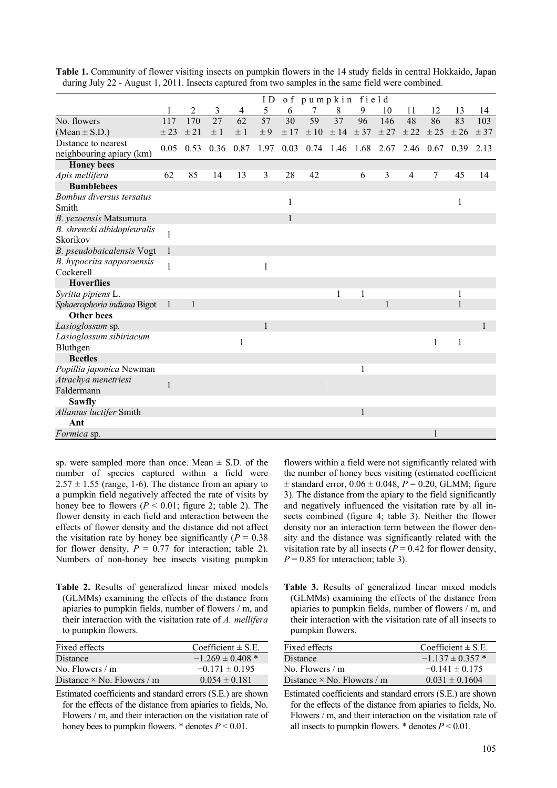|                             |              |                   |         |         | ID              |          | of pumpkin field                                  |                            |              |                |                |              |              |              |
|-----------------------------|--------------|-------------------|---------|---------|-----------------|----------|---------------------------------------------------|----------------------------|--------------|----------------|----------------|--------------|--------------|--------------|
|                             | 1            | 2                 | 3       | 4       | 5               | 6        | 7                                                 | 8                          | 9            | 10             | 11             | 12           | 13           | 14           |
| No. flowers                 | 117          | 170               | 27      | 62      | $\overline{57}$ | 30       | 59                                                | 37                         | 96           | 146            | 48             | 86           | 83           | 103          |
| $(Mean \pm S.D.)$           | ± 23         | ± 21              | $\pm$ 1 | $\pm$ 1 | $\pm$ 9         | $\pm$ 17 |                                                   | $\pm 10$ $\pm 14$ $\pm 37$ |              | $\pm 27$       | ± 22           | $\pm 25$     | $\pm 26$     | $\pm$ 37     |
| Distance to nearest         |              | $0.05 \quad 0.53$ |         |         |                 |          | 0.36 0.87 1.97 0.03 0.74 1.46 1.68 2.67 2.46 0.67 |                            |              |                |                |              | 0.39         | 2.13         |
| neighbouring apiary (km)    |              |                   |         |         |                 |          |                                                   |                            |              |                |                |              |              |              |
| <b>Honey</b> bees           |              |                   |         |         |                 |          |                                                   |                            |              |                |                |              |              |              |
| Apis mellifera              | 62           | 85                | 14      | 13      | 3               | 28       | 42                                                |                            | 6            | $\mathfrak{Z}$ | $\overline{4}$ | $\tau$       | 45           | 14           |
| <b>Bumblebees</b>           |              |                   |         |         |                 |          |                                                   |                            |              |                |                |              |              |              |
| Bombus diversus tersatus    |              |                   |         |         |                 | 1        |                                                   |                            |              |                |                |              | $\mathbf{1}$ |              |
| Smith                       |              |                   |         |         |                 |          |                                                   |                            |              |                |                |              |              |              |
| B. yezoensis Matsumura      |              |                   |         |         |                 |          |                                                   |                            |              |                |                |              |              |              |
| B. shrencki albidopleuralis | 1            |                   |         |         |                 |          |                                                   |                            |              |                |                |              |              |              |
| Skorikov                    |              |                   |         |         |                 |          |                                                   |                            |              |                |                |              |              |              |
| B. pseudobaicalensis Vogt   | 1            |                   |         |         |                 |          |                                                   |                            |              |                |                |              |              |              |
| B. hypocrita sapporoensis   | 1            |                   |         |         | 1               |          |                                                   |                            |              |                |                |              |              |              |
| Cockerell                   |              |                   |         |         |                 |          |                                                   |                            |              |                |                |              |              |              |
| <b>Hoverflies</b>           |              |                   |         |         |                 |          |                                                   |                            |              |                |                |              |              |              |
| Syritta pipiens L.          |              |                   |         |         |                 |          |                                                   | 1                          |              |                |                |              | 1            |              |
| Sphaerophoria indiana Bigot | -1           | $\mathbf{1}$      |         |         |                 |          |                                                   |                            |              | 1              |                |              | $\mathbf{1}$ |              |
| <b>Other bees</b>           |              |                   |         |         |                 |          |                                                   |                            |              |                |                |              |              |              |
| Lasioglossum sp.            |              |                   |         |         | $\mathbf{1}$    |          |                                                   |                            |              |                |                |              |              | $\mathbf{1}$ |
| Lasioglossum sibiriacum     |              |                   |         | 1       |                 |          |                                                   |                            |              |                |                | $\mathbf{1}$ | 1            |              |
| Bluthgen                    |              |                   |         |         |                 |          |                                                   |                            |              |                |                |              |              |              |
| <b>Beetles</b>              |              |                   |         |         |                 |          |                                                   |                            |              |                |                |              |              |              |
| Popillia japonica Newman    |              |                   |         |         |                 |          |                                                   |                            | 1            |                |                |              |              |              |
| Atrachya menetriesi         | $\mathbf{1}$ |                   |         |         |                 |          |                                                   |                            |              |                |                |              |              |              |
| Faldermann                  |              |                   |         |         |                 |          |                                                   |                            |              |                |                |              |              |              |
| <b>Sawfly</b>               |              |                   |         |         |                 |          |                                                   |                            |              |                |                |              |              |              |
| Allantus luctifer Smith     |              |                   |         |         |                 |          |                                                   |                            | $\mathbf{1}$ |                |                |              |              |              |
| Ant                         |              |                   |         |         |                 |          |                                                   |                            |              |                |                |              |              |              |
| <i>Formica</i> sp.          |              |                   |         |         |                 |          |                                                   |                            |              |                |                |              |              |              |

**Table 1.** Community of flower visiting insects on pumpkin flowers in the 14 study fields in central Hokkaido, Japan during July 22 - August 1, 2011. Insects captured from two samples in the same field were combined.

sp. were sampled more than once. Mean  $\pm$  S.D. of the number of species captured within a field were  $2.57 \pm 1.55$  (range, 1-6). The distance from an apiary to a pumpkin field negatively affected the rate of visits by honey bee to flowers  $(P < 0.01$ ; figure 2; table 2). The flower density in each field and interaction between the effects of flower density and the distance did not affect the visitation rate by honey bee significantly ( $P = 0.38$ ) for flower density,  $P = 0.77$  for interaction; table 2). Numbers of non-honey bee insects visiting pumpkin

**Table 2.** Results of generalized linear mixed models (GLMMs) examining the effects of the distance from apiaries to pumpkin fields, number of flowers / m, and their interaction with the visitation rate of *A. mellifera* to pumpkin flowers.

| Fixed effects                     | Coefficient $\pm$ S.E. |
|-----------------------------------|------------------------|
| Distance                          | $-1.269 \pm 0.408$ *   |
| No. Flowers $/m$                  | $-0.171 \pm 0.195$     |
| Distance $\times$ No. Flowers / m | $0.054 \pm 0.181$      |

Estimated coefficients and standard errors (S.E.) are shown for the effects of the distance from apiaries to fields, No. Flowers / m, and their interaction on the visitation rate of honey bees to pumpkin flowers. \* denotes *P* < 0.01.

flowers within a field were not significantly related with the number of honey bees visiting (estimated coefficient  $\pm$  standard error,  $0.06 \pm 0.048$ ,  $P = 0.20$ , GLMM; figure 3). The distance from the apiary to the field significantly and negatively influenced the visitation rate by all insects combined (figure 4; table 3). Neither the flower density nor an interaction term between the flower density and the distance was significantly related with the visitation rate by all insects ( $P = 0.42$  for flower density,  $P = 0.85$  for interaction; table 3).

**Table 3.** Results of generalized linear mixed models (GLMMs) examining the effects of the distance from apiaries to pumpkin fields, number of flowers / m, and their interaction with the visitation rate of all insects to pumpkin flowers.

| Fixed effects                     | Coefficient $\pm$ S.E.   |
|-----------------------------------|--------------------------|
| <b>Distance</b>                   | $-1$ 137 $\pm$ 0 357 $*$ |
| No. Flowers $/m$                  | $-0.141 \pm 0.175$       |
| Distance $\times$ No. Flowers / m | $0.031 \pm 0.1604$       |

Estimated coefficients and standard errors (S.E.) are shown for the effects of the distance from apiaries to fields, No. Flowers / m, and their interaction on the visitation rate of all insects to pumpkin flowers.  $*$  denotes  $P \leq 0.01$ .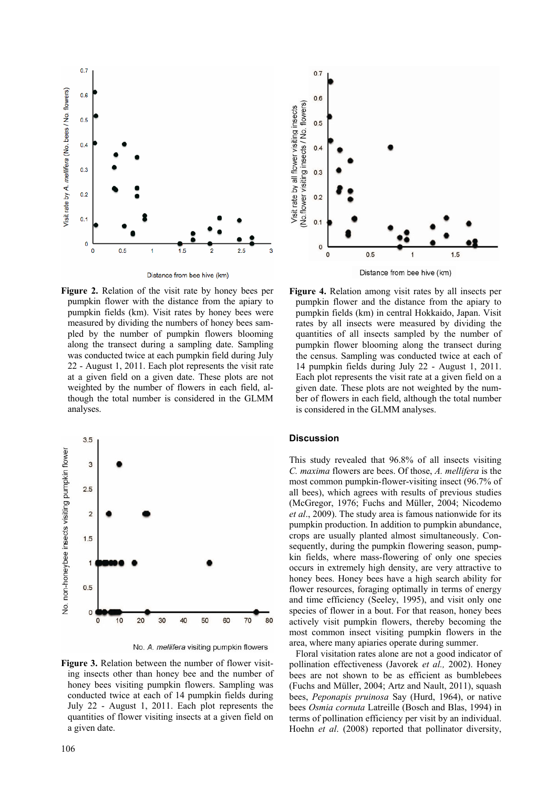

Distance from bee hive (km)

**Figure 2.** Relation of the visit rate by honey bees per pumpkin flower with the distance from the apiary to pumpkin fields (km). Visit rates by honey bees were measured by dividing the numbers of honey bees sampled by the number of pumpkin flowers blooming along the transect during a sampling date. Sampling was conducted twice at each pumpkin field during July 22 - August 1, 2011. Each plot represents the visit rate at a given field on a given date. These plots are not weighted by the number of flowers in each field, although the total number is considered in the GLMM analyses.



No. A. mellifera visiting pumpkin flowers

**Figure 3.** Relation between the number of flower visiting insects other than honey bee and the number of honey bees visiting pumpkin flowers. Sampling was conducted twice at each of 14 pumpkin fields during July 22 - August 1, 2011. Each plot represents the quantities of flower visiting insects at a given field on a given date.



**Figure 4.** Relation among visit rates by all insects per pumpkin flower and the distance from the apiary to pumpkin fields (km) in central Hokkaido, Japan. Visit rates by all insects were measured by dividing the quantities of all insects sampled by the number of pumpkin flower blooming along the transect during the census. Sampling was conducted twice at each of 14 pumpkin fields during July 22 - August 1, 2011. Each plot represents the visit rate at a given field on a given date. These plots are not weighted by the number of flowers in each field, although the total number is considered in the GLMM analyses.

## **Discussion**

This study revealed that 96.8% of all insects visiting *C. maxima* flowers are bees. Of those, *A. mellifera* is the most common pumpkin-flower-visiting insect (96.7% of all bees), which agrees with results of previous studies (McGregor, 1976; Fuchs and Müller, 2004; Nicodemo *et al*., 2009). The study area is famous nationwide for its pumpkin production. In addition to pumpkin abundance, crops are usually planted almost simultaneously. Consequently, during the pumpkin flowering season, pumpkin fields, where mass-flowering of only one species occurs in extremely high density, are very attractive to honey bees. Honey bees have a high search ability for flower resources, foraging optimally in terms of energy and time efficiency (Seeley, 1995), and visit only one species of flower in a bout. For that reason, honey bees actively visit pumpkin flowers, thereby becoming the most common insect visiting pumpkin flowers in the area, where many apiaries operate during summer.

Floral visitation rates alone are not a good indicator of pollination effectiveness (Javorek *et al.,* 2002). Honey bees are not shown to be as efficient as bumblebees (Fuchs and Müller, 2004; Artz and Nault, 2011), squash bees, *Peponapis pruinosa* Say (Hurd, 1964), or native bees *Osmia cornuta* Latreille (Bosch and Blas, 1994) in terms of pollination efficiency per visit by an individual. Hoehn *et al*. (2008) reported that pollinator diversity,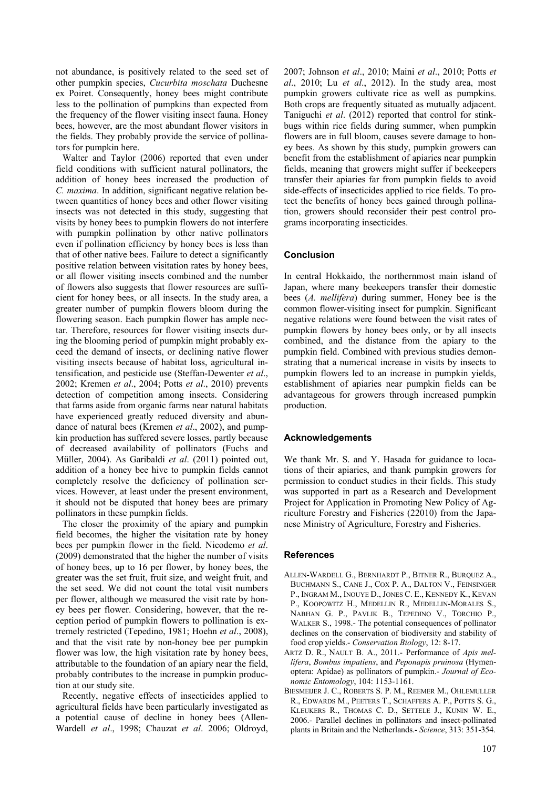not abundance, is positively related to the seed set of other pumpkin species, *Cucurbita moschata* Duchesne ex Poiret. Consequently, honey bees might contribute less to the pollination of pumpkins than expected from the frequency of the flower visiting insect fauna. Honey bees, however, are the most abundant flower visitors in the fields. They probably provide the service of pollinators for pumpkin here.

Walter and Taylor (2006) reported that even under field conditions with sufficient natural pollinators, the addition of honey bees increased the production of *C. maxima*. In addition, significant negative relation between quantities of honey bees and other flower visiting insects was not detected in this study, suggesting that visits by honey bees to pumpkin flowers do not interfere with pumpkin pollination by other native pollinators even if pollination efficiency by honey bees is less than that of other native bees. Failure to detect a significantly positive relation between visitation rates by honey bees, or all flower visiting insects combined and the number of flowers also suggests that flower resources are sufficient for honey bees, or all insects. In the study area, a greater number of pumpkin flowers bloom during the flowering season. Each pumpkin flower has ample nectar. Therefore, resources for flower visiting insects during the blooming period of pumpkin might probably exceed the demand of insects, or declining native flower visiting insects because of habitat loss, agricultural intensification, and pesticide use (Steffan-Dewenter *et al*., 2002; Kremen *et al*., 2004; Potts *et al*., 2010) prevents detection of competition among insects. Considering that farms aside from organic farms near natural habitats have experienced greatly reduced diversity and abundance of natural bees (Kremen *et al*., 2002), and pumpkin production has suffered severe losses, partly because of decreased availability of pollinators (Fuchs and Müller, 2004). As Garibaldi *et al*. (2011) pointed out, addition of a honey bee hive to pumpkin fields cannot completely resolve the deficiency of pollination services. However, at least under the present environment, it should not be disputed that honey bees are primary pollinators in these pumpkin fields.

The closer the proximity of the apiary and pumpkin field becomes, the higher the visitation rate by honey bees per pumpkin flower in the field. Nicodemo *et al*. (2009) demonstrated that the higher the number of visits of honey bees, up to 16 per flower, by honey bees, the greater was the set fruit, fruit size, and weight fruit, and the set seed. We did not count the total visit numbers per flower, although we measured the visit rate by honey bees per flower. Considering, however, that the reception period of pumpkin flowers to pollination is extremely restricted (Tepedino, 1981; Hoehn *et al*., 2008), and that the visit rate by non-honey bee per pumpkin flower was low, the high visitation rate by honey bees, attributable to the foundation of an apiary near the field, probably contributes to the increase in pumpkin production at our study site.

Recently, negative effects of insecticides applied to agricultural fields have been particularly investigated as a potential cause of decline in honey bees (Allen-Wardell *et al*., 1998; Chauzat *et al*. 2006; Oldroyd, 2007; Johnson *et al*., 2010; Maini *et al*., 2010; Potts *et al*., 2010; Lu *et al*., 2012). In the study area, most pumpkin growers cultivate rice as well as pumpkins. Both crops are frequently situated as mutually adjacent. Taniguchi *et al*. (2012) reported that control for stinkbugs within rice fields during summer, when pumpkin flowers are in full bloom, causes severe damage to honey bees. As shown by this study, pumpkin growers can benefit from the establishment of apiaries near pumpkin fields, meaning that growers might suffer if beekeepers transfer their apiaries far from pumpkin fields to avoid side-effects of insecticides applied to rice fields. To protect the benefits of honey bees gained through pollination, growers should reconsider their pest control programs incorporating insecticides.

## **Conclusion**

In central Hokkaido, the northernmost main island of Japan, where many beekeepers transfer their domestic bees (*A. mellifera*) during summer, Honey bee is the common flower-visiting insect for pumpkin. Significant negative relations were found between the visit rates of pumpkin flowers by honey bees only, or by all insects combined, and the distance from the apiary to the pumpkin field. Combined with previous studies demonstrating that a numerical increase in visits by insects to pumpkin flowers led to an increase in pumpkin yields, establishment of apiaries near pumpkin fields can be advantageous for growers through increased pumpkin production.

#### **Acknowledgements**

We thank Mr. S. and Y. Hasada for guidance to locations of their apiaries, and thank pumpkin growers for permission to conduct studies in their fields. This study was supported in part as a Research and Development Project for Application in Promoting New Policy of Agriculture Forestry and Fisheries (22010) from the Japanese Ministry of Agriculture, Forestry and Fisheries.

#### **References**

- ALLEN-WARDELL G., BERNHARDT P., BITNER R., BURQUEZ A., BUCHMANN S., CANE J., COX P. A., DALTON V., FEINSINGER P., INGRAM M., INOUYE D., JONES C. E., KENNEDY K., KEVAN P., KOOPOWITZ H., MEDELLIN R., MEDELLIN-MORALES S., NABHAN G. P., PAVLIK B., TEPEDINO V., TORCHIO P., WALKER S., 1998.- The potential consequences of pollinator declines on the conservation of biodiversity and stability of food crop yields.- *Conservation Biology*, 12: 8-17.
- ARTZ D. R., NAULT B. A., 2011.- Performance of *Apis mellifera*, *Bombus impatiens*, and *Peponapis pruinosa* (Hymenoptera: Apidae) as pollinators of pumpkin.- *Journal of Economic Entomology*, 104: 1153-1161.
- BIESMEIJER J. C., ROBERTS S. P. M., REEMER M., OHLEMULLER R., EDWARDS M., PEETERS T., SCHAFFERS A. P., POTTS S. G., KLEUKERS R., THOMAS C. D., SETTELE J., KUNIN W. E., 2006.- Parallel declines in pollinators and insect-pollinated plants in Britain and the Netherlands.- *Science*, 313: 351-354.